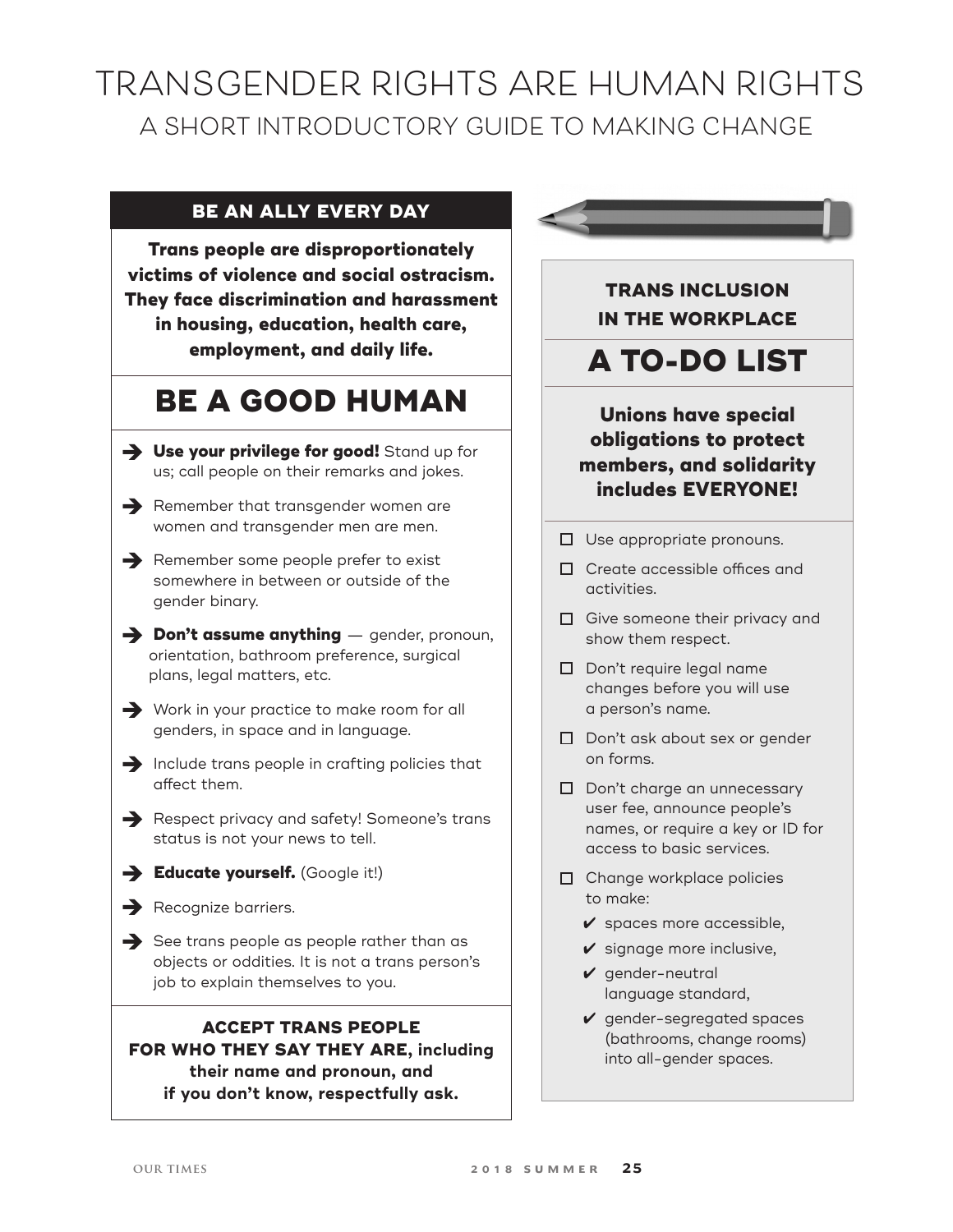# **TRANSGENDER RIGHTS ARE HUMAN RIGHTS A SHORT INTRODUCTORY GUIDE TO MAKING CHANGE**

## **BE AN ALLY EVERY DAY**

**Trans people are disproportionately victims of violence and social ostracism. They face discrimination and harassment in housing, education, health care, employment, and daily life.** 

# **Be a good human**

- **→ Use your privilege for good!** Stand up for us; call people on their remarks and jokes.
- $\rightarrow$  Remember that transgender women are women and transgender men are men.
- $\rightarrow$  Remember some people prefer to exist somewhere in between or outside of the gender binary.
- è **Don't assume anything** gender, pronoun, orientation, bathroom preference, surgical plans, legal matters, etc.
- $\rightarrow$  Work in your practice to make room for all genders, in space and in language.
- $\rightarrow$  Include trans people in crafting policies that affect them.
- Respect privacy and safety! Someone's trans status is not your news to tell.
- $\rightarrow$  Educate yourself. (Google it!)
- $\rightarrow$  Recognize barriers.
- $\rightarrow$  See trans people as people rather than as objects or oddities. It is not a trans person's job to explain themselves to you.

## **Accept Trans people for who they say they are, including their name and pronoun, and if you don't know, respectfully ask.**



- □ Use appropriate pronouns.
- Create accessible offices and activities.
- $\Box$  Give someone their privacy and show them respect.
- D Don't require legal name changes before you will use a person's name.
- D Don't ask about sex or gender on forms.
- D Don't charge an unnecessary user fee, announce people's names, or require a key or ID for access to basic services.
- □ Change workplace policies to make:
	- $\checkmark$  spaces more accessible,
	- $\checkmark$  signage more inclusive,
	- $\vee$  gender-neutral language standard,
	- $\vee$  gender-segregated spaces (bathrooms, change rooms) into all-gender spaces.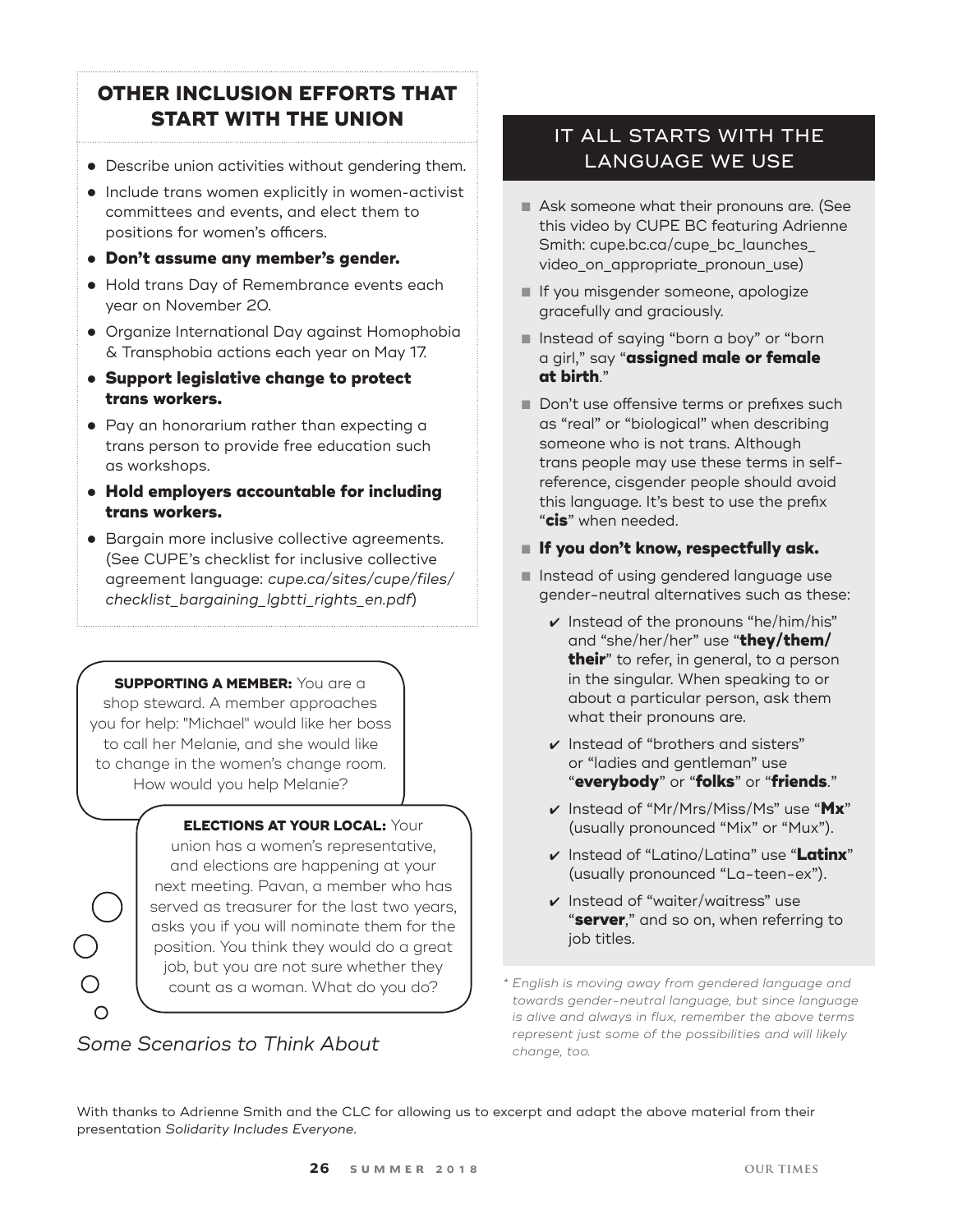# **OTHER INCLUSION EFFORTS THAT START WITH THE UNION**

- Describe union activities without gendering them.
- Include trans women explicitly in women-activist committees and events, and elect them to positions for women's officers.
- l **Don't assume any member's gender.**
- Hold trans Day of Remembrance events each year on November 20.
- Organize International Day against Homophobia & Transphobia actions each year on May 17.
- l **Support legislative change to protect trans workers.**
- Pay an honorarium rather than expecting a trans person to provide free education such as workshops.
- l **Hold employers accountable for including trans workers.**
- **Bargain more inclusive collective agreements.** (See CUPE's checklist for inclusive collective agreement language: *cupe.ca/sites/cupe/files/ checklist\_bargaining\_lgbtti\_rights\_en.pdf*)

## **SUPPORTING A MEMBER:** You are a

shop steward. A member approaches you for help: "Michael" would like her boss to call her Melanie, and she would like to change in the women's change room. How would you help Melanie?

# **Elections at your local:** Your

union has a women's representative, and elections are happening at your next meeting. Pavan, a member who has served as treasurer for the last two years, asks you if you will nominate them for the position. You think they would do a great job, but you are not sure whether they

# *Some Scenarios to Think About*

# IT ALL STARTS WITH THE LANGUAGE WE USE

- Ask someone what their pronouns are. (See this video by CUPE BC featuring Adrienne Smith: cupe.bc.ca/cupe\_bc\_launches\_ video\_on\_appropriate\_pronoun\_use)
- **If you misgender someone, apologize** gracefully and graciously.
- Instead of saying "born a boy" or "born a girl," say "**assigned male or female at birth**."
- Don't use offensive terms or prefixes such as "real" or "biological" when describing someone who is not trans. Although trans people may use these terms in selfreference, cisgender people should avoid this language. It's best to use the prefix "**cis**" when needed.

## n **If you don't know, respectfully ask.**

- n Instead of using gendered language use gender-neutral alternatives such as these:
	- $\vee$  Instead of the pronouns "he/him/his" and "she/her/her" use "**they/them/ their**" to refer, in general, to a person in the singular. When speaking to or about a particular person, ask them what their pronouns are.
	- $\boldsymbol{\nu}$  Instead of "brothers and sisters" or "ladies and gentleman" use "**everybody**" or "**folks**" or "**friends**."
	- 4 Instead of "Mr/Mrs/Miss/Ms" use "**Mx**" (usually pronounced "Mix" or "Mux").
	- 4 Instead of "Latino/Latina" use "**Latinx**" (usually pronounced "La-teen-ex").
	- $\boldsymbol{\nu}$  Instead of "waiter/waitress" use "**server**," and so on, when referring to job titles.

count as a woman. What do you do? *\* English is moving away from gendered language and towards gender-neutral language, but since language is alive and always in flux, remember the above terms represent just some of the possibilities and will likely change, too.*

With thanks to Adrienne Smith and the CLC for allowing us to excerpt and adapt the above material from their presentation *Solidarity Includes Everyone*.